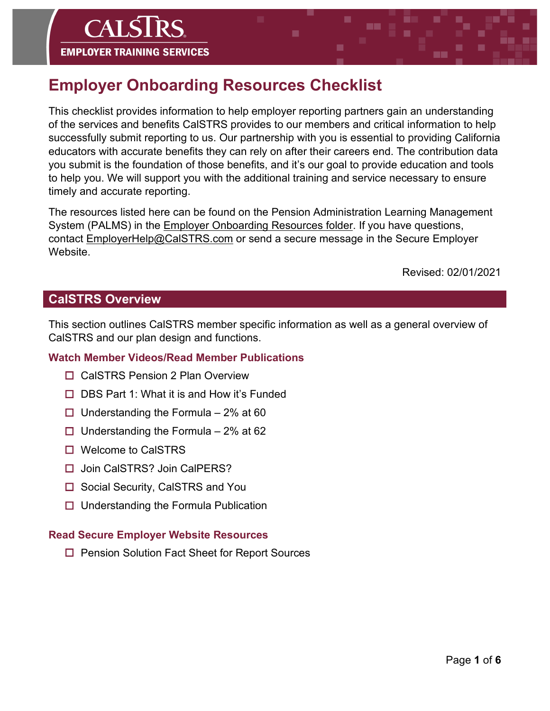# **Employer Onboarding Resources Checklist**

This checklist provides information to help employer reporting partners gain an understanding of the services and benefits CalSTRS provides to our members and critical information to help successfully submit reporting to us. Our partnership with you is essential to providing California educators with accurate benefits they can rely on after their careers end. The contribution data you submit is the foundation of those benefits, and it's our goal to provide education and tools to help you. We will support you with the additional training and service necessary to ensure timely and accurate reporting.

The resources listed here can be found on the Pension Administration Learning Management System (PALMS) in the [Employer Onboarding Resources folder.](https://palms.calstrs.com/course/index.php?categoryid=46) If you have questions, contact [EmployerHelp@CalSTRS.com](mailto:EmployerHelp@CalSTRS.com) or send a secure message in the Secure Employer Website.

Revised: 02/01/2021

## **CalSTRS Overview**

This section outlines CalSTRS member specific information as well as a general overview of CalSTRS and our plan design and functions.

## **Watch Member Videos/Read Member Publications**

- □ CalSTRS Pension 2 Plan Overview
- $\Box$  DBS Part 1: What it is and How it's Funded
- $\Box$  Understanding the Formula 2% at 60
- $\Box$  Understanding the Formula 2% at 62
- □ Welcome to CalSTRS
- □ Join CalSTRS? Join CalPERS?
- $\Box$  Social Security, CalSTRS and You
- $\Box$  Understanding the Formula Publication

## **Read Secure Employer Website Resources**

□ Pension Solution Fact Sheet for Report Sources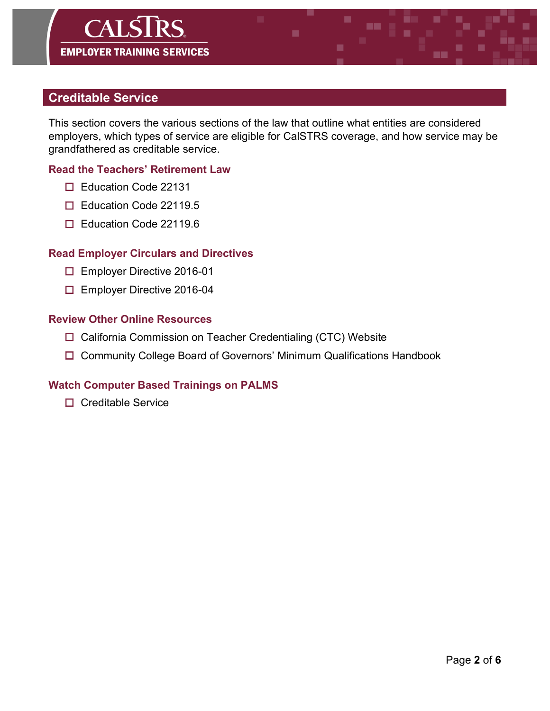# $CAIS$ **EMPLOYER TRAINING SERVICES**

## **Creditable Service**

This section covers the various sections of the law that outline what entities are considered employers, which types of service are eligible for CalSTRS coverage, and how service may be grandfathered as creditable service.

## **Read the Teachers' Retirement Law**

- □ Education Code 22131
- □ Education Code 22119.5
- □ Education Code 22119.6

#### **Read Employer Circulars and Directives**

- □ Employer Directive 2016-01
- □ Employer Directive 2016-04

#### **Review Other Online Resources**

- □ California Commission on Teacher Credentialing (CTC) Website
- □ Community College Board of Governors' Minimum Qualifications Handbook

#### **Watch Computer Based Trainings on PALMS**

 $\Box$  Creditable Service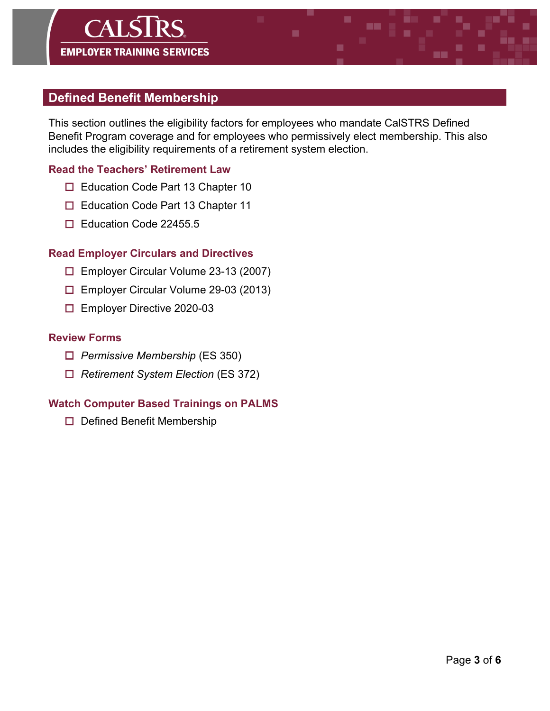## $CAIS$ DС **EMPLOYER TRAINING SERVICES**

## **Defined Benefit Membership**

This section outlines the eligibility factors for employees who mandate CalSTRS Defined Benefit Program coverage and for employees who permissively elect membership. This also includes the eligibility requirements of a retirement system election.

## **Read the Teachers' Retirement Law**

- □ Education Code Part 13 Chapter 10
- □ Education Code Part 13 Chapter 11
- □ Education Code 22455.5

#### **Read Employer Circulars and Directives**

- Employer Circular Volume 23-13 (2007)
- Employer Circular Volume 29-03 (2013)
- Employer Directive 2020-03

#### **Review Forms**

- *Permissive Membership* (ES 350)
- *Retirement System Election* (ES 372)

## **Watch Computer Based Trainings on PALMS**

 $\Box$  Defined Benefit Membership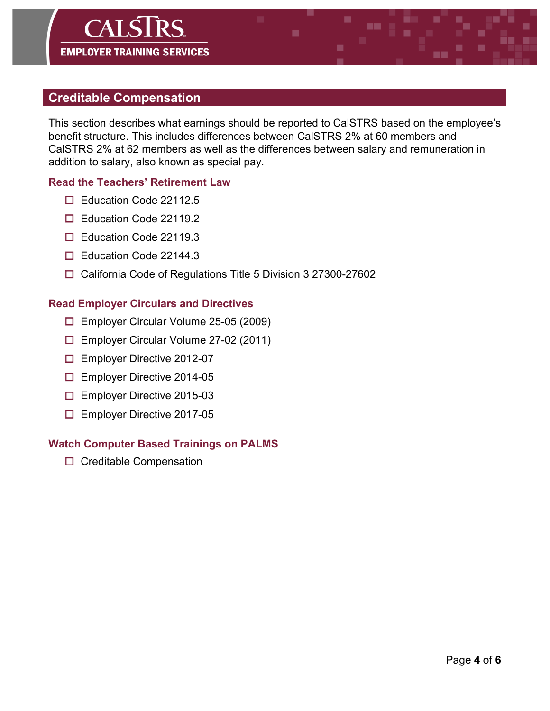# $CAI\overline{S}$ **EMPLOYER TRAINING SERVICES**

## **Creditable Compensation**

This section describes what earnings should be reported to CalSTRS based on the employee's benefit structure. This includes differences between CalSTRS 2% at 60 members and CalSTRS 2% at 62 members as well as the differences between salary and remuneration in addition to salary, also known as special pay.

٠

## **Read the Teachers' Retirement Law**

- □ Education Code 22112.5
- □ Education Code 22119.2
- □ Education Code 22119.3
- □ Education Code 22144.3
- □ California Code of Regulations Title 5 Division 3 27300-27602

## **Read Employer Circulars and Directives**

- Employer Circular Volume 25-05 (2009)
- Employer Circular Volume 27-02 (2011)
- □ Employer Directive 2012-07
- □ Employer Directive 2014-05
- □ Employer Directive 2015-03
- Employer Directive 2017-05

## **Watch Computer Based Trainings on PALMS**

□ Creditable Compensation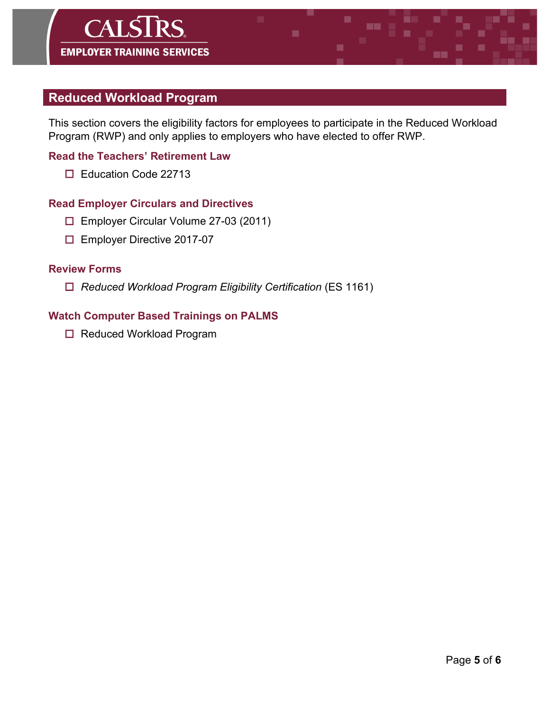## **Reduced Workload Program**

This section covers the eligibility factors for employees to participate in the Reduced Workload Program (RWP) and only applies to employers who have elected to offer RWP.

## **Read the Teachers' Retirement Law**

Education Code 22713

## **Read Employer Circulars and Directives**

- Employer Circular Volume 27-03 (2011)
- □ Employer Directive 2017-07

#### **Review Forms**

*Reduced Workload Program Eligibility Certification* (ES 1161)

## **Watch Computer Based Trainings on PALMS**

□ Reduced Workload Program